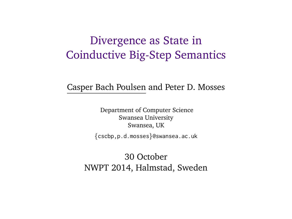# Divergence as State in Coinductive Big-Step Semantics

#### Casper Bach Poulsen and Peter D. Mosses

Department of Computer Science Swansea University Swansea, UK

{cscbp,p.d.mosses}@swansea.ac.uk

30 October NWPT 2014, Halmstad, Sweden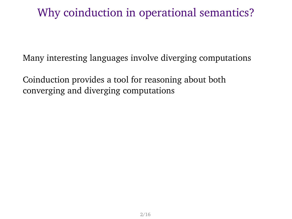# Why coinduction in operational semantics?

Many interesting languages involve diverging computations

Coinduction provides a tool for reasoning about both converging and diverging computations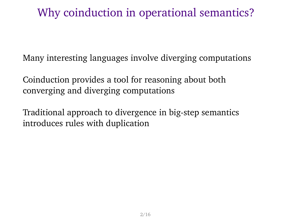# Why coinduction in operational semantics?

Many interesting languages involve diverging computations

Coinduction provides a tool for reasoning about both converging and diverging computations

Traditional approach to divergence in big-step semantics introduces rules with duplication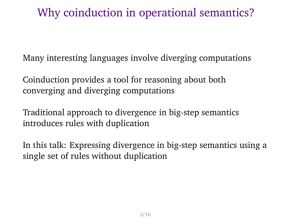# Why coinduction in operational semantics?

Many interesting languages involve diverging computations

Coinduction provides a tool for reasoning about both converging and diverging computations

Traditional approach to divergence in big-step semantics introduces rules with duplication

In this talk: Expressing divergence in big-step semantics using a single set of rules without duplication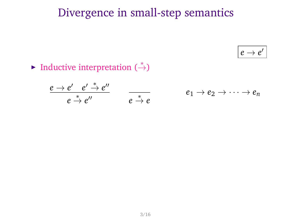# Divergence in small-step semantics

 $e \rightarrow e'$ 

Inductive interpretation  $(\stackrel{*}{\rightarrow})$ 

$$
\frac{e\to e'\quad e'\stackrel{*}{\to} e''}{e\stackrel{*}{\to} e''}\qquad \qquad \frac{}{e\stackrel{*}{\to} e}\qquad \qquad e_1\to e_2\to \cdots \to e_n
$$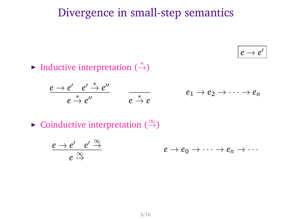# Divergence in small-step semantics

 $e \rightarrow e'$ 

Inductive interpretation  $(\stackrel{*}{\rightarrow})$ 

$$
\frac{e \to e' \quad e' \stackrel{*}{\to} e''}{e \stackrel{*}{\to} e''} \qquad \frac{}{e \stackrel{*}{\to} e} \qquad \qquad e_1 \to e_2 \to \cdots \to e_n
$$

 $\triangleright$  Coinductive interpretation ( $\stackrel{\infty}{\rightarrow}$ )

$$
\frac{e \to e' \quad e' \stackrel{\infty}{\to}}{e \stackrel{\infty}{\to}} \qquad \qquad e \to e_0 \to \cdots \to e_n \to \cdots
$$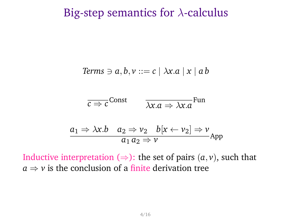### Big-step semantics for  $\lambda$ -calculus

*Terms* 
$$
\ni a, b, v ::= c \mid \lambda x.a \mid x \mid ab
$$

$$
\overline{c \Rightarrow c}^{\text{Const}} \qquad \overline{\lambda x. a \Rightarrow \lambda x. a}^{\text{Fun}}
$$

$$
\frac{a_1 \Rightarrow \lambda x.b \quad a_2 \Rightarrow v_2 \quad b[x \leftarrow v_2] \Rightarrow v}{a_1 a_2 \Rightarrow v}
$$

Inductive interpretation  $(\Rightarrow)$ : the set of pairs  $(a, v)$ , such that  $a \Rightarrow v$  is the conclusion of a finite derivation tree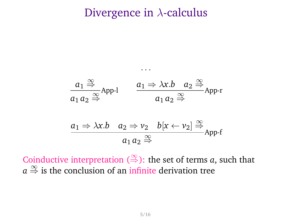### Divergence in  $\lambda$ -calculus

$$
a_1 \stackrel{\infty}{\Rightarrow} \text{App-1} \qquad \frac{a_1 \Rightarrow \lambda x.b \quad a_2 \stackrel{\infty}{\Rightarrow}}{a_1 a_2 \stackrel{\infty}{\Rightarrow}} \text{App-r}
$$
\n
$$
\frac{a_1 \Rightarrow \lambda x.b \quad a_2 \Rightarrow \nu_2 \quad b[x \leftarrow \nu_2] \stackrel{\infty}{\Rightarrow}}{a_1 a_2 \stackrel{\infty}{\Rightarrow}} \text{App-f}
$$

· · ·

Coinductive interpretation  $(\stackrel{\infty}{\Rightarrow})$ : the set of terms *a*, such that  $a \stackrel{\infty}{\Rightarrow}$  is the conclusion of an infinite derivation tree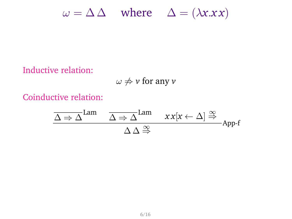$\omega = \Delta \Delta$  where  $\Delta = (\lambda x.x)^2$ 

Inductive relation:

 $\omega \neq \nu$  for any  $\nu$ 

Coinductive relation:

$$
\frac{\overline{\Delta \Rightarrow \Delta}^{\text{Lam}} \quad \overline{\Delta \Rightarrow \Delta}^{\text{Lam}} \quad x x [x \leftarrow \Delta] \stackrel{\infty}{\Rightarrow}}{\Delta \Delta \stackrel{\infty}{\Rightarrow}} \text{App-f}
$$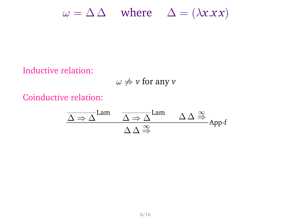$\omega = \Delta \Delta$  where  $\Delta = (\lambda x.x)^2$ 

Inductive relation:

 $\omega \not\Rightarrow v$  for any *v* 

Coinductive relation:

$$
\frac{\overline{\Delta \Rightarrow \Delta}^{\text{Lam}} \quad \overline{\Delta \Rightarrow \Delta}^{\text{Lam}} \quad \Delta \Delta \stackrel{\infty}{\Rightarrow}}{\Delta \Delta \stackrel{\infty}{\Rightarrow}} \text{App-f}
$$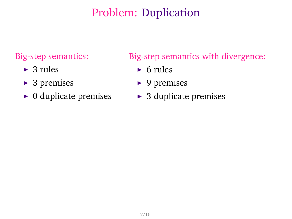# Problem: Duplication

### Big-step semantics:

- $\blacktriangleright$  3 rules
- $\triangleright$  3 premises
- $\triangleright$  0 duplicate premises

Big-step semantics with divergence:

- $\triangleright$  6 rules
- $\blacktriangleright$  9 premises
- $\triangleright$  3 duplicate premises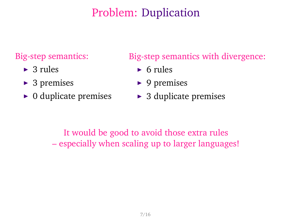# Problem: Duplication

### Big-step semantics:

- $\blacktriangleright$  3 rules
- $\triangleright$  3 premises
- $\triangleright$  0 duplicate premises

### Big-step semantics with divergence:

- $\triangleright$  6 rules
- $\triangleright$  9 premises
- $\triangleright$  3 duplicate premises

It would be good to avoid those extra rules – especially when scaling up to larger languages!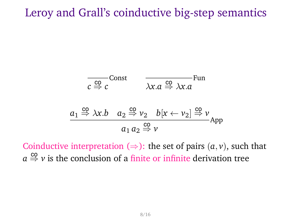## Leroy and Grall's coinductive big-step semantics

$$
c \stackrel{\overline{c} \circ \overline{c}}{\Rightarrow} c
$$
Const 
$$
\overline{\lambda x.a} \stackrel{\overline{c} \circ \overline{c}}{\Rightarrow} \lambda x.a
$$
Fun
$$
a_1 \stackrel{\overline{c} \circ \overline{c}}{\Rightarrow} \lambda x.b
$$
 
$$
a_2 \stackrel{\overline{c} \circ \overline{c}}{\Rightarrow} \nu_2 \quad b[x \leftarrow \nu_2] \stackrel{\overline{c} \circ \overline{c}}{\Rightarrow} \nu_2
$$
App

Coinductive interpretation  $(\Rightarrow)$ : the set of pairs  $(a, v)$ , such that  $a \stackrel{\mathsf{co}}{\Rightarrow} v$  is the conclusion of a finite or infinite derivation tree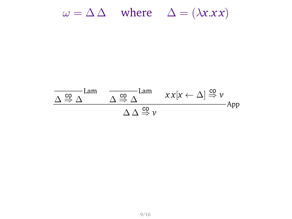$\omega = \Delta \Delta$  where  $\Delta = (\lambda x.x)^2$ 

$$
\frac{\Delta \overset{\text{co}}{\Rightarrow} \Delta \text{Lam}}{\Delta \overset{\text{co}}{\Rightarrow} \Delta} \frac{\text{Lam}}{\Delta \overset{\text{co}}{\Rightarrow} \Delta} \frac{xx[x \leftarrow \Delta] \overset{\text{co}}{\Rightarrow} \nu}{\Rightarrow}
$$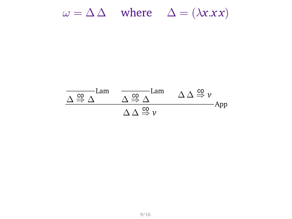$\omega = \Delta \Delta$  where  $\Delta = (\lambda x.x)^2$ 

$$
\frac{\Delta \overset{co}{\Rightarrow} \Delta \text{Lam}}{\Delta \overset{co}{\Rightarrow} \Delta} \frac{\Delta \overset{co}{\Rightarrow} \Delta \text{Lam}}{\Delta \Delta \overset{co}{\Rightarrow} \nu} \text{App}
$$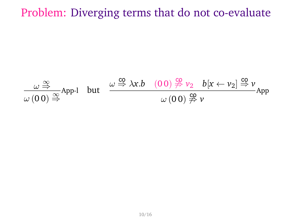# Problem: Diverging terms that do not co-evaluate

$$
\frac{\omega \stackrel{\infty}{\Rightarrow}}{\omega(00) \stackrel{\infty}{\Rightarrow}} App\text{-1} \quad \text{but} \quad \frac{\omega \stackrel{\text{co}}{\Rightarrow} \lambda x.b \quad (00) \stackrel{\text{co}}{\not\Rightarrow} \nu_2 \quad b[x \leftarrow \nu_2] \stackrel{\text{co}}{\Rightarrow} \nu}{\omega(00) \stackrel{\text{co}}{\not\Rightarrow} \nu} App
$$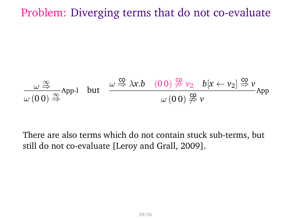## Problem: Diverging terms that do not co-evaluate

$$
\frac{\omega \stackrel{\infty}{\Rightarrow}}{\omega (00) \stackrel{\infty}{\Rightarrow}} App\text{-1} \quad \text{but} \quad \frac{\omega \stackrel{\text{co}}{\Rightarrow} \lambda x.b \quad (00) \stackrel{\text{co}}{\not\Rightarrow} \nu_2 \quad b[x \leftarrow \nu_2] \stackrel{\text{co}}{\Rightarrow} \nu}{\omega (00) \stackrel{\text{co}}{\not\Rightarrow} \nu} App
$$

There are also terms which do not contain stuck sub-terms, but still do not co-evaluate [Leroy and Grall, 2009].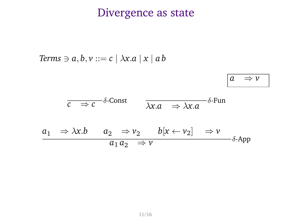### Divergence as state

*Terms*  $\ni$  *a*, *b*, *v* ::= *c* |  $\lambda$ *x*.*a* | *x* | *a b a* ⇒ *v c* ⇒ *c*  $δ$ -Const  $\overline{\lambda x}$ .*a*  $\Rightarrow \overline{\lambda x}$ .*a*  $δ$ -Fun  $a_1 \Rightarrow \lambda x.b \qquad a_2 \Rightarrow v_2 \qquad b[x \leftarrow v_2] \Rightarrow v$  $a_1 a_2 \Rightarrow v$  $\delta$ -App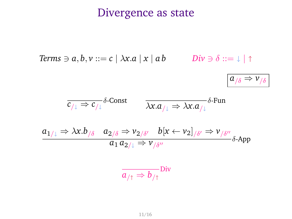# Divergence as state

Terms 
$$
\ni a, b, v ::= c \mid \lambda x.a \mid x \mid ab
$$
   
Div  $\ni \delta ::= \bot \mid \uparrow$   
  

$$
\overline{c_{/\downarrow} \Rightarrow c_{/\downarrow}} \delta\text{-Const} \qquad \overline{\lambda x.a_{/\downarrow} \Rightarrow \lambda x.a_{/\downarrow}} \delta\text{-Fun}
$$
  

$$
\frac{a_{1/\downarrow} \Rightarrow \lambda x.b_{/\delta} \quad a_{2/\delta} \Rightarrow v_{2/\delta'} \quad b[x \leftarrow v_{2}]_{/\delta'} \Rightarrow v_{/\delta''}}{a_1 a_{2/\downarrow} \Rightarrow v_{/\delta''}} \delta\text{-App}
$$

$$
\overline{a_{/\uparrow}} \Rightarrow b_{/\uparrow}
$$
Div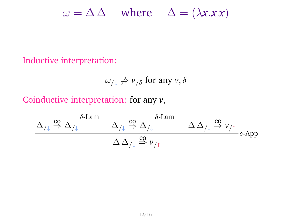$\omega = \Delta \Delta$  where  $\Delta = (\lambda x.x)^2$ 

#### Inductive interpretation:

$$
\omega_{/\downarrow} \not\Rightarrow \nu_{/\delta} \text{ for any } \nu, \delta
$$

Coinductive interpretation: for any *v*,

$$
\frac{\Delta_{/ \downarrow} \overset{\text{co}}{\Rightarrow} \Delta_{/ \downarrow}}{\Delta_{/ \downarrow}} \frac{\delta\text{-Lam}}{\Delta_{/ \downarrow} \overset{\text{co}}{\Rightarrow} \Delta_{/ \downarrow}} \frac{\delta\text{-Lam}}{\Delta_{/ \downarrow} \overset{\text{co}}{\Rightarrow} \nu_{/ \uparrow}}}{\Delta \Delta_{/ \downarrow} \overset{\text{co}}{\Rightarrow} \nu_{/ \uparrow}} \delta\text{-App}
$$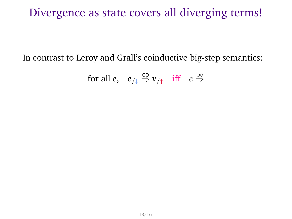# Divergence as state covers all diverging terms!

In contrast to Leroy and Grall's coinductive big-step semantics:

for all 
$$
e, e_{/\downarrow} \stackrel{co}{\Rightarrow} v_{/\uparrow}
$$
 iff  $e \stackrel{\infty}{\Rightarrow}$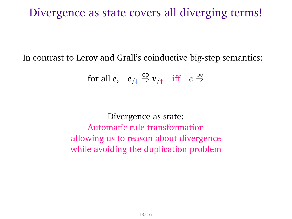### Divergence as state covers all diverging terms!

In contrast to Leroy and Grall's coinductive big-step semantics:

for all 
$$
e, e_{/\downarrow} \stackrel{co}{\Rightarrow} v_{/\uparrow}
$$
 iff  $e \stackrel{\infty}{\Rightarrow}$ 

Divergence as state: Automatic rule transformation allowing us to reason about divergence while avoiding the duplication problem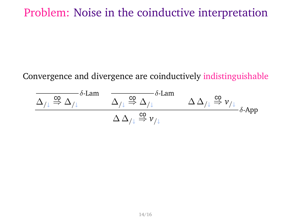# Problem: Noise in the coinductive interpretation

### Convergence and divergence are coinductively indistinguishable

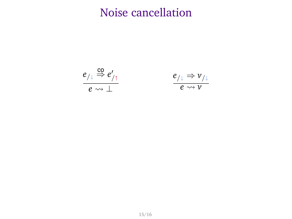# Noise cancellation



$$
\frac{e_{/\downarrow} \Rightarrow v_{/\downarrow}}{e \leadsto v}
$$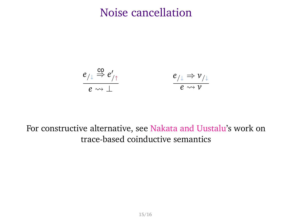## Noise cancellation

$$
\frac{e_{/\downarrow} \stackrel{co}{\Rightarrow} e'_{/\uparrow}}{e \leadsto \perp} \qquad \qquad \frac{e_{/\downarrow} \Rightarrow \nu_{/\downarrow}}{e \leadsto \nu}
$$

### For constructive alternative, see Nakata and Uustalu's work on trace-based coinductive semantics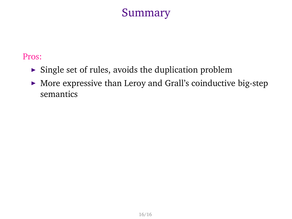## Summary

#### Pros:

- $\triangleright$  Single set of rules, avoids the duplication problem
- $\blacktriangleright$  More expressive than Leroy and Grall's coinductive big-step semantics